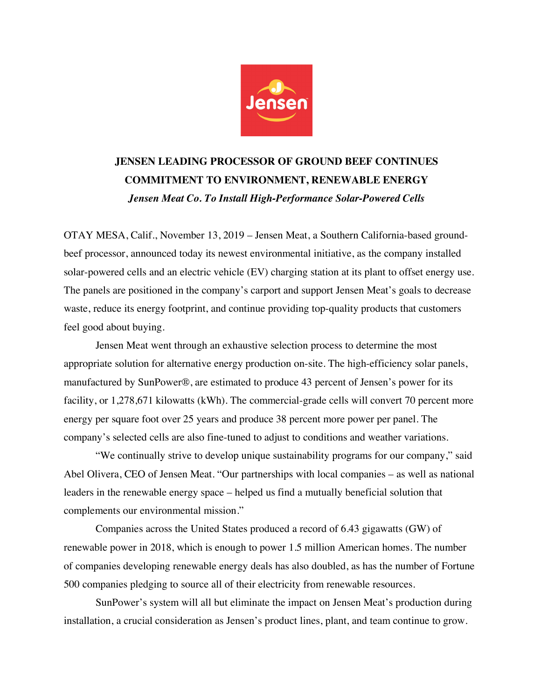

## **JENSEN LEADING PROCESSOR OF GROUND BEEF CONTINUES COMMITMENT TO ENVIRONMENT, RENEWABLE ENERGY** *Jensen Meat Co. To Install High-Performance Solar-Powered Cells*

OTAY MESA, Calif., November 13, 2019 – Jensen Meat, a Southern California-based groundbeef processor, announced today its newest environmental initiative, as the company installed solar-powered cells and an electric vehicle (EV) charging station at its plant to offset energy use. The panels are positioned in the company's carport and support Jensen Meat's goals to decrease waste, reduce its energy footprint, and continue providing top-quality products that customers feel good about buying.

Jensen Meat went through an exhaustive selection process to determine the most appropriate solution for alternative energy production on-site. The high-efficiency solar panels, manufactured by SunPower®, are estimated to produce 43 percent of Jensen's power for its facility, or 1,278,671 kilowatts (kWh). The commercial-grade cells will convert 70 percent more energy per square foot over 25 years and produce 38 percent more power per panel. The company's selected cells are also fine-tuned to adjust to conditions and weather variations.

"We continually strive to develop unique sustainability programs for our company," said Abel Olivera, CEO of Jensen Meat. "Our partnerships with local companies – as well as national leaders in the renewable energy space – helped us find a mutually beneficial solution that complements our environmental mission."

Companies across the United States produced a record of 6.43 gigawatts (GW) of renewable power in 2018, which is enough to power 1.5 million American homes. The number of companies developing renewable energy deals has also doubled, as has the number of Fortune 500 companies pledging to source all of their electricity from renewable resources.

SunPower's system will all but eliminate the impact on Jensen Meat's production during installation, a crucial consideration as Jensen's product lines, plant, and team continue to grow.